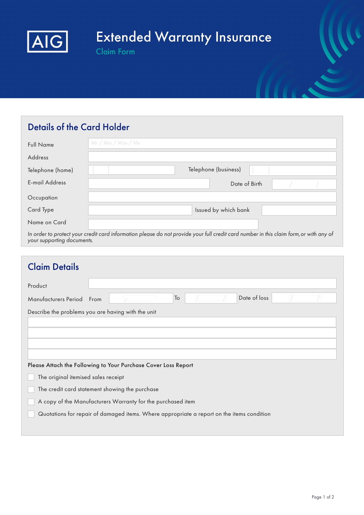

# **Extended Warranty Insurance**

**Claim Form** 

## Details of the Card Holder

| <b>Full Name</b>      | Mr/Mrs/Miss/Ms                                                                                                                         |
|-----------------------|----------------------------------------------------------------------------------------------------------------------------------------|
| <b>Address</b>        |                                                                                                                                        |
| Telephone (home)      | Telephone (business)                                                                                                                   |
| <b>E-mail Address</b> | Date of Birth                                                                                                                          |
| Occupation            |                                                                                                                                        |
| Card Type             | Issued by which bank                                                                                                                   |
| Name on Card          |                                                                                                                                        |
|                       | In order to protect your credit card information please do not provide your full credit card number in this claim form, or with any of |

your supporting documents.

| <b>Claim Details</b>                                                                      |  |  |  |  |  |  |
|-------------------------------------------------------------------------------------------|--|--|--|--|--|--|
| Product                                                                                   |  |  |  |  |  |  |
| Date of loss<br>To<br>Manufacturers Period<br>From                                        |  |  |  |  |  |  |
| Describe the problems you are having with the unit                                        |  |  |  |  |  |  |
|                                                                                           |  |  |  |  |  |  |
|                                                                                           |  |  |  |  |  |  |
|                                                                                           |  |  |  |  |  |  |
| Please Attach the Following to Your Purchase Cover Loss Report                            |  |  |  |  |  |  |
| The original itemised sales receipt                                                       |  |  |  |  |  |  |
| The credit card statement showing the purchase                                            |  |  |  |  |  |  |
| A copy of the Manufacturers Warranty for the purchased item                               |  |  |  |  |  |  |
| Quotations for repair of damaged items. Where appropriate a report on the items condition |  |  |  |  |  |  |
|                                                                                           |  |  |  |  |  |  |